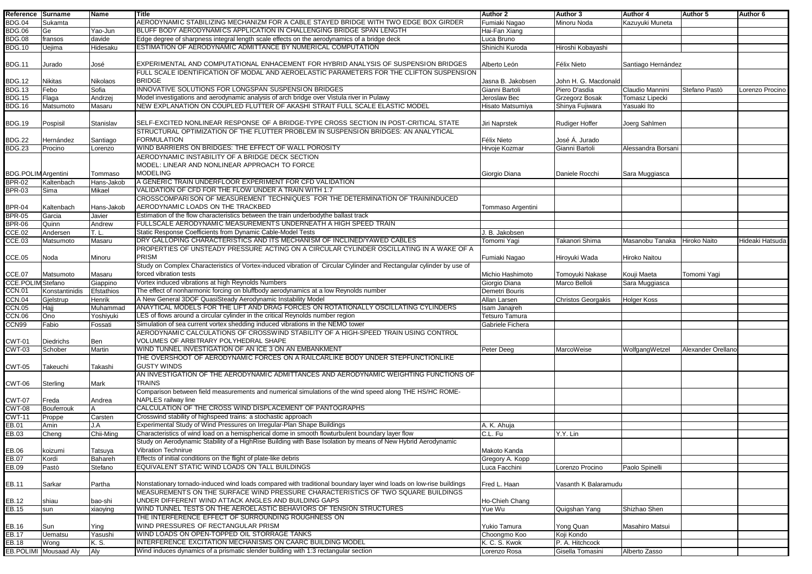| Reference Surname         |                       | Name       | <b>Title</b>                                                                                                         | <b>Author 2</b>       | Author 3             | Author 4           | <b>Author 5</b>    | Author 6        |
|---------------------------|-----------------------|------------|----------------------------------------------------------------------------------------------------------------------|-----------------------|----------------------|--------------------|--------------------|-----------------|
| <b>BDG.04</b>             | Sukamta               |            | AERODYNAMIC STABILIZING MECHANIZM FOR A CABLE STAYED BRIDGE WITH TWO EDGE BOX GIRDER                                 | Fumiaki Nagao         | Minoru Noda          | Kazuyuki Muneta    |                    |                 |
|                           |                       |            |                                                                                                                      |                       |                      |                    |                    |                 |
| <b>BDG.06</b>             | Ge                    | Yao-Jun    | BLUFF BODY AERODYNAMICS APPLICATION IN CHALLENGING BRIDGE SPAN LENGTH                                                | Hai-Fan Xiang         |                      |                    |                    |                 |
| <b>BDG.08</b>             | fransos               | davide     | Edge degree of sharpness integral length scale effects on the aerodynamics of a bridge deck                          | Luca Bruno            |                      |                    |                    |                 |
| <b>BDG.10</b>             | Uejima                | Hidesaku   | ESTIMATION OF AERODYNAMIC ADMITTANCE BY NUMERICAL COMPUTATION                                                        | Shinichi Kuroda       | Hiroshi Kobayashi    |                    |                    |                 |
|                           |                       |            |                                                                                                                      |                       |                      |                    |                    |                 |
| <b>BDG.11</b>             | Jurado                | José       | EXPERIMENTAL AND COMPUTATIONAL ENHACEMENT FOR HYBRID ANALYSIS OF SUSPENSION BRIDGES                                  | Alberto León          | Félix Nieto          | Santiago Hernández |                    |                 |
|                           |                       |            | FULL SCALE IDENTIFICATION OF MODAL AND AEROELASTIC PARAMETERS FOR THE CLIFTON SUSPENSION                             |                       |                      |                    |                    |                 |
| <b>BDG.12</b>             | Nikitas               | Nikolaos   | <b>BRIDGE</b>                                                                                                        |                       | John H. G. Macdonald |                    |                    |                 |
|                           |                       |            |                                                                                                                      | Jasna B. Jakobsen     |                      |                    |                    |                 |
| <b>BDG.13</b>             | Febo                  | Sofia      | INNOVATIVE SOLUTIONS FOR LONGSPAN SUSPENSION BRIDGES                                                                 | Gianni Bartoli        | Piero D'asdia        | Claudio Mannini    | Stefano Pastò      | Lorenzo Procino |
| <b>BDG.15</b>             | Flaga                 | Andrzej    | Model investigations and aerodynamic analysis of arch bridge over Vistula river in Pulawy                            | Jeroslaw Bec          | Grzegorz Bosak       | Tomasz Lipecki     |                    |                 |
| <b>BDG.16</b>             | Matsumoto             | Masaru     | NEW EXPLANATION ON COUPLED FLUTTER OF AKASHI STRAIT FULL SCALE ELASTIC MODEL                                         | Hisato Matsumiya      | Shinya Fujiwara      | Yasuaki Ito        |                    |                 |
|                           |                       |            |                                                                                                                      |                       |                      |                    |                    |                 |
| <b>BDG.19</b>             | Pospisil              | Stanislav  | SELF-EXCITED NONLINEAR RESPONSE OF A BRIDGE-TYPE CROSS SECTION IN POST-CRITICAL STATE                                | Jiri Naprstek         | Rudiger Hoffer       | Joerg Sahlmen      |                    |                 |
|                           |                       |            | STRUCTURAL OPTIMIZATION OF THE FLUTTER PROBLEM IN SUSPENSION BRIDGES: AN ANALYTICAL                                  |                       |                      |                    |                    |                 |
|                           |                       |            | <b>FORMULATION</b>                                                                                                   |                       |                      |                    |                    |                 |
| <b>BDG.22</b>             | Hernández             | Santiago   |                                                                                                                      | Félix Nieto           | José Á. Jurado       |                    |                    |                 |
| <b>BDG.23</b>             | Procino               | Lorenzo    | WIND BARRIERS ON BRIDGES: THE EFFECT OF WALL POROSITY                                                                | Hrvoje Kozmar         | Gianni Bartol        | Alessandra Borsan  |                    |                 |
|                           |                       |            | AERODYNAMIC INSTABILITY OF A BRIDGE DECK SECTION                                                                     |                       |                      |                    |                    |                 |
|                           |                       |            | MODEL: LINEAR AND NONLINEAR APPROACH TO FORCE                                                                        |                       |                      |                    |                    |                 |
| <b>BDG.POLIMArgentini</b> |                       | Tommaso    | <b>MODELING</b>                                                                                                      | Giorgio Diana         | Daniele Rocchi       | Sara Muggiasca     |                    |                 |
| <b>BPR-02</b>             | Kaltenbach            | Hans-Jakob | A GENERIC TRAIN UNDERFLOOR EXPERIMENT FOR CFD VALIDATION                                                             |                       |                      |                    |                    |                 |
|                           |                       |            | VALIDATION OF CFD FOR THE FLOW UNDER A TRAIN WITH 1:7                                                                |                       |                      |                    |                    |                 |
| <b>BPR-03</b>             | Sima                  | Mikael     |                                                                                                                      |                       |                      |                    |                    |                 |
|                           |                       |            | CROSSCOMPARISON OF MEASUREMENT TECHNIQUES FOR THE DETERMINATION OF TRAININDUCED                                      |                       |                      |                    |                    |                 |
| <b>BPR-04</b>             | Kaltenbach            | Hans-Jakob | AERODYNAMIC LOADS ON THE TRACKBED                                                                                    | Tommaso Argentini     |                      |                    |                    |                 |
| <b>BPR-05</b>             | Garcia                | Javier     | Estimation of the flow characteristics between the train underbodythe ballast track                                  |                       |                      |                    |                    |                 |
| <b>BPR-06</b>             | Quinn                 | Andrew     | FULLSCALE AERODYNAMIC MEASUREMENTS UNDERNEATH A HIGH SPEED TRAIN                                                     |                       |                      |                    |                    |                 |
| CCE.02                    | Andersen              | T. L.      | Static Response Coefficients from Dynamic Cable-Model Tests                                                          | J. B. Jakobsen        |                      |                    |                    |                 |
|                           | Matsumoto             | Masaru     | DRY GALLOPING CHARACTERISTICS AND ITS MECHANISM OF INCLINED/YAWED CABLES                                             | Tomomi Yaqi           | Takanori Shima       | Masanobu Tanaka    | Hiroko Naito       | Hideaki Hatsuda |
| CCE.03                    |                       |            |                                                                                                                      |                       |                      |                    |                    |                 |
|                           |                       |            | PROPERTIES OF UNSTEADY PRESSURE ACTING ON A CIRCULAR CYLINDER OSCILLATING IN A WAKE OF A                             |                       |                      |                    |                    |                 |
| <b>CCE.05</b>             | Noda                  | Minoru     | PRISM                                                                                                                | Fumiaki Nagao         | Hiroyuki Wada        | Hiroko Naitou      |                    |                 |
|                           |                       |            | Study on Complex Characteristics of Vortex-induced vibration of Circular Cylinder and Rectangular cylinder by use of |                       |                      |                    |                    |                 |
| CCE.07                    | Matsumoto             | Masaru     | forced vibration tests                                                                                               | Michio Hashimoto      | Tomoyuki Nakase      | Kouji Maeta        | Tomomi Yagi        |                 |
| <b>CCE.POLIN</b>          | A Stefano             | Giappino   | Vortex induced vibrations at high Reynolds Numbers                                                                   | Giorgio Diana         | Marco Belloli        | Sara Muggiasca     |                    |                 |
| <b>CCN.01</b>             | Konstantinidis        | Efstathios | The effect of nonharmonic forcing on bluffbody aerodynamics at a low Reynolds number                                 |                       |                      |                    |                    |                 |
|                           |                       |            | A New General 3DOF QuasiSteady Aerodynamic Instability Model                                                         | Demetri Bouris        |                      |                    |                    |                 |
| CCN.04                    | Gjelstrup             | Henrik     |                                                                                                                      | Allan Larsen          | Christos Georgakis   | <b>Holger Koss</b> |                    |                 |
| <b>CCN.05</b>             | Hajj                  | Muhammad   | ANAYTICAL MODELS FOR THE LIFT AND DRAG FORCES ON ROTATIONALLY OSCILLATING CYLINDERS                                  | Isam Janajreh         |                      |                    |                    |                 |
| <b>CCN.06</b>             | Ono                   | Yoshiyuki  | LES of flows around a circular cylinder in the critical Reynolds number region                                       | <b>Tetsuro Tamura</b> |                      |                    |                    |                 |
| CCN99                     | Fabio                 | Fossati    | Simulation of sea current vortex shedding induced vibrations in the NEMO tower                                       | Gabriele Fichera      |                      |                    |                    |                 |
|                           |                       |            | AERODYNAMIC CALCULATIONS OF CROSSWIND STABILITY OF A HIGH-SPEED TRAIN USING CONTROL                                  |                       |                      |                    |                    |                 |
| CWT-01                    | Diedrichs             | Ben        | VOLUMES OF ARBITRARY POLYHEDRAL SHAPE                                                                                |                       |                      |                    |                    |                 |
|                           |                       |            | WIND TUNNEL INVESTIGATION OF AN ICE 3 ON AN EMBANKMENT                                                               |                       |                      |                    |                    |                 |
| <b>CWT-03</b>             | Schober               | Martin     |                                                                                                                      | Peter Deeg            | MarcoWeise           | WolfgangWetzel     | Alexander Orellano |                 |
|                           |                       |            | THE OVERSHOOT OF AERODYNAMIC FORCES ON A RAILCARLIKE BODY UNDER STEPFUNCTIONLIKE                                     |                       |                      |                    |                    |                 |
| CWT-05                    | Takeuchi              | Takashi    | <b>GUSTY WINDS</b>                                                                                                   |                       |                      |                    |                    |                 |
|                           |                       |            | AN INVESTIGATION OF THE AERODYNAMIC ADMITTANCES AND AERODYNAMIC WEIGHTING FUNCTIONS OF                               |                       |                      |                    |                    |                 |
| CWT-06                    | Sterling              | Mark       | <b>TRAINS</b>                                                                                                        |                       |                      |                    |                    |                 |
|                           |                       |            | Comparison between field measurements and numerical simulations of the wind speed along THE HS/HC ROME-              |                       |                      |                    |                    |                 |
| <b>CWT-07</b>             | Freda                 | Andrea     | NAPLES railway line                                                                                                  |                       |                      |                    |                    |                 |
|                           |                       |            |                                                                                                                      |                       |                      |                    |                    |                 |
| <b>CWT-08</b>             | Bouferrouk            |            | CALCULATION OF THE CROSS WIND DISPLACEMENT OF PANTOGRAPHS                                                            |                       |                      |                    |                    |                 |
| <b>CWT-11</b>             | Proppe                | Carsten    | Crosswind stability of highspeed trains: a stochastic approach                                                       |                       |                      |                    |                    |                 |
| EB.01                     | Amin                  | J.A        | Experimental Study of Wind Pressures on Irregular-Plan Shape Buildings                                               | A. K. Ahuja           |                      |                    |                    |                 |
| EB.03                     | Cheng                 | Chii-Ming  | Characteristics of wind load on a hemispherical dome in smooth flowturbulent boundary layer flow                     | C.L. Fu               | Y.Y. Lin             |                    |                    |                 |
|                           |                       |            | Study on Aerodynamic Stability of a HighRise Building with Base Isolation by means of New Hybrid Aerodynamic         |                       |                      |                    |                    |                 |
| EB.06                     | koizumi               | Tatsuya    | <b>Vibration Technirue</b>                                                                                           | Makoto Kanda          |                      |                    |                    |                 |
| EB.07                     | Kordi                 | Bahareh    | Effects of initial conditions on the flight of plate-like debris                                                     | Gregory A. Kopp       |                      |                    |                    |                 |
|                           |                       |            | EQUIVALENT STATIC WIND LOADS ON TALL BUILDINGS                                                                       |                       |                      |                    |                    |                 |
| EB.09                     | Pastò                 | Stefano    |                                                                                                                      | Luca Facchini         | orenzo Procino       | Paolo Spinelli     |                    |                 |
|                           |                       |            |                                                                                                                      |                       |                      |                    |                    |                 |
| EB.11                     | Sarkar                | Partha     | Nonstationary tornado-induced wind loads compared with traditional boundary layer wind loads on low-rise buildings   | Fred L. Haan          | Vasanth K Balaramudu |                    |                    |                 |
|                           |                       |            | MEASUREMENTS ON THE SURFACE WIND PRESSURE CHARACTERISTICS OF TWO SQUARE BUILDINGS                                    |                       |                      |                    |                    |                 |
|                           | shiau                 | bao-shi    | UNDER DIFFERENT WIND ATTACK ANGLES AND BUILDING GAPS                                                                 | Ho-Chieh Chang        |                      |                    |                    |                 |
| EB.12<br>EB.15            | sun                   | xiaoying   | WIND TUNNEL TESTS ON THE AEROELASTIC BEHAVIORS OF TENSION STRUCTURES                                                 | Yue Wu                | Quigshan Yang        | Shizhao Shen       |                    |                 |
|                           |                       |            |                                                                                                                      |                       |                      |                    |                    |                 |
|                           |                       |            | THE INTERFERENCE EFFECT OF SURROUNDING ROUGHNESS ON                                                                  |                       |                      |                    |                    |                 |
| EB.16<br>EB.17            | Sun                   | Ying       | WIND PRESSURES OF RECTANGULAR PRISM                                                                                  | Yukio Tamura          | Yong Quan            | Masahiro Matsui    |                    |                 |
|                           | Uematsu               | Yasushi    | WIND LOADS ON OPEN-TOPPED OIL STORRAGE TANKS                                                                         | Choongmo Koo          | Koji Kondo           |                    |                    |                 |
| EB.18                     | Wong                  | K. S.      | INTERFERENCE EXCITATION MECHANISMS ON CAARC BUILDING MODEL                                                           | K. C. S. Kwok         | P. A. Hitchcock      |                    |                    |                 |
|                           | EB.POLIMI Mousaad Aly | Aly        | Wind induces dynamics of a prismatic slender building with 1:3 rectangular section                                   | Lorenzo Rosa          | Gisella Tomasini     | Alberto Zasso      |                    |                 |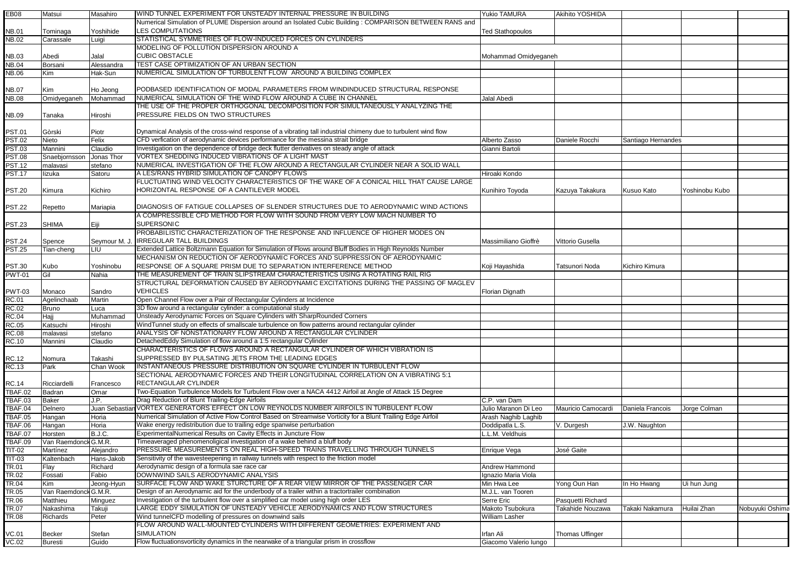| <b>EB08</b>               | Matsui                          | Masahiro       | WIND TUNNEL EXPERIMENT FOR UNSTEADY INTERNAL PRESSURE IN BUILDING                                                                                                                    | <b>Yukio TAMURA</b>              | Akihito YOSHIDA    |                    |                |                 |
|---------------------------|---------------------------------|----------------|--------------------------------------------------------------------------------------------------------------------------------------------------------------------------------------|----------------------------------|--------------------|--------------------|----------------|-----------------|
|                           |                                 |                | Numerical Simulation of PLUME Dispersion around an Isolated Cubic Building : COMPARISON BETWEEN RANS and                                                                             |                                  |                    |                    |                |                 |
| NB.01                     | Tominaga                        | Yoshihide      | <b>LES COMPUTATIONS</b>                                                                                                                                                              | <b>Ted Stathopoulos</b>          |                    |                    |                |                 |
| NB.02                     | Carassale                       | Luigi          | STATISTICAL SYMMETRIES OF FLOW-INDUCED FORCES ON CYLINDERS                                                                                                                           |                                  |                    |                    |                |                 |
|                           |                                 |                | MODELING OF POLLUTION DISPERSION AROUND A                                                                                                                                            |                                  |                    |                    |                |                 |
| NB.03                     | Abedi                           | Jalal          | <b>CUBIC OBSTACLE</b>                                                                                                                                                                | Mohammad Omidyeganeh             |                    |                    |                |                 |
| <b>NB.04</b>              | Borsani                         | Alessandra     | TEST CASE OPTIMIZATION OF AN URBAN SECTION                                                                                                                                           |                                  |                    |                    |                |                 |
| NB.06                     | Kim                             | Hak-Sun        | NUMERICAL SIMULATION OF TURBULENT FLOW AROUND A BUILDING COMPLEX                                                                                                                     |                                  |                    |                    |                |                 |
|                           |                                 |                |                                                                                                                                                                                      |                                  |                    |                    |                |                 |
| NB.07                     | Kim                             | Ho Jeong       | PODBASED IDENTIFICATION OF MODAL PARAMETERS FROM WINDINDUCED STRUCTURAL RESPONSE                                                                                                     |                                  |                    |                    |                |                 |
| <b>NB.08</b>              | Omidyeganeh                     | Mohammad       | NUMERICAL SIMULATION OF THE WIND FLOW AROUND A CUBE IN CHANNEL                                                                                                                       | <b>Jalal Abedi</b>               |                    |                    |                |                 |
|                           |                                 |                | THE USE OF THE PROPER ORTHOGONAL DECOMPOSITION FOR SIMULTANEOUSLY ANALYZING THE                                                                                                      |                                  |                    |                    |                |                 |
| NB.09                     | Tanaka                          | Hiroshi        | PRESSURE FIELDS ON TWO STRUCTURES                                                                                                                                                    |                                  |                    |                    |                |                 |
|                           |                                 |                |                                                                                                                                                                                      |                                  |                    |                    |                |                 |
| <b>PST.01</b>             | Gòrski                          | Piotr          | Dynamical Analysis of the cross-wind response of a vibrating tall industrial chimeny due to turbulent wind flow                                                                      |                                  |                    |                    |                |                 |
| <b>PST.02</b>             | Nieto                           | Felix          | CFD verfication of aerodynamic devices performance for the messina strait bridge                                                                                                     | Alberto Zasso                    | Daniele Rocchi     | Santiago Hernandes |                |                 |
| PST.03                    | Mannini                         | Claudio        | Investigation on the dependence of bridge deck flutter derivatives on steady angle of attack                                                                                         | Gianni Bartoli                   |                    |                    |                |                 |
| <b>PST.08</b>             | Snaebjornsson                   | Jonas Thor     | VORTEX SHEDDING INDUCED VIBRATIONS OF A LIGHT MAST                                                                                                                                   |                                  |                    |                    |                |                 |
| PST.12                    | malavasi                        | stefano        | NUMERICAL INVESTIGATION OF THE FLOW AROUND A RECTANGULAR CYLINDER NEAR A SOLID WALL                                                                                                  |                                  |                    |                    |                |                 |
| <b>PST.17</b>             | lizuka                          | Satoru         | A LES/RANS HYBRID SIMULATION OF CANOPY FLOWS                                                                                                                                         | Hiroaki Kondo                    |                    |                    |                |                 |
|                           |                                 |                | FLUCTUATING WIND VELOCITY CHARACTERISTICS OF THE WAKE OF A CONICAL HILL THAT CAUSE LARGE                                                                                             |                                  |                    |                    |                |                 |
| PST.20                    | Kimura                          | Kichiro        | HORIZONTAL RESPONSE OF A CANTILEVER MODEL                                                                                                                                            | Kunihiro Toyoda                  | Kazuya Takakura    | Kusuo Kato         | Yoshinobu Kubo |                 |
|                           |                                 |                |                                                                                                                                                                                      |                                  |                    |                    |                |                 |
| PST.22                    | Repetto                         | Mariapia       | DIAGNOSIS OF FATIGUE COLLAPSES OF SLENDER STRUCTURES DUE TO AERODYNAMIC WIND ACTIONS                                                                                                 |                                  |                    |                    |                |                 |
|                           |                                 |                | A COMPRESSIBLE CFD METHOD FOR FLOW WITH SOUND FROM VERY LOW MACH NUMBER TO                                                                                                           |                                  |                    |                    |                |                 |
| <b>PST.23</b>             | <b>SHIMA</b>                    | Eiii           | <b>SUPERSONIC</b>                                                                                                                                                                    |                                  |                    |                    |                |                 |
|                           |                                 |                | PROBABILISTIC CHARACTERIZATION OF THE RESPONSE AND INFLUENCE OF HIGHER MODES ON                                                                                                      |                                  |                    |                    |                |                 |
|                           | Spence                          | Seymour M. J.  | <b>IRREGULAR TALL BUILDINGS</b>                                                                                                                                                      | Massimiliano Gioffrè             | Vittorio Gusella   |                    |                |                 |
| PST.24<br><b>PST.25</b>   | Tian-cheng                      | LIU            | Extended Lattice Boltzmann Equation for Simulation of Flows around Bluff Bodies in High Reynolds Number                                                                              |                                  |                    |                    |                |                 |
|                           |                                 |                | MECHANISM ON REDUCTION OF AERODYNAMIC FORCES AND SUPPRESSION OF AERODYNAMIC                                                                                                          |                                  |                    |                    |                |                 |
|                           |                                 |                | RESPONSE OF A SQUARE PRISM DUE TO SEPARATION INTERFERENCE METHOD                                                                                                                     |                                  |                    |                    |                |                 |
| PST.30                    | Kubo<br>Gil                     | Yoshinobu      | THE MEASUREMENT OF TRAIN SLIPSTREAM CHARACTERISTICS USING A ROTATING RAIL RIG                                                                                                        | Koji Hayashida                   | Tatsunori Noda     | Kichiro Kimura     |                |                 |
| <b>PWT-01</b>             |                                 | Nahia          | STRUCTURAL DEFORMATION CAUSED BY AERODYNAMIC EXCITATIONS DURING THE PASSING OF MAGLEV                                                                                                |                                  |                    |                    |                |                 |
|                           |                                 |                | <b>VEHICLES</b>                                                                                                                                                                      |                                  |                    |                    |                |                 |
| <b>PWT-03</b>             | Monaco                          | Sandro         |                                                                                                                                                                                      | Florian Dignath                  |                    |                    |                |                 |
| <b>RC.01</b>              | Agelinchaab                     | Martin         | Open Channel Flow over a Pair of Rectangular Cylinders at Incidence                                                                                                                  |                                  |                    |                    |                |                 |
| RC.02                     | <b>Bruno</b>                    | Luca           | 3D flow around a rectangular cylinder: a computational study<br>Unsteady Aerodynamic Forces on Square Cylinders with SharpRounded Corners                                            |                                  |                    |                    |                |                 |
| RC.04                     | Hajj                            | Muhammad       | WindTunnel study on effects of smallscale turbulence on flow patterns around rectangular cylinder                                                                                    |                                  |                    |                    |                |                 |
| RC.05                     | Katsuchi                        | Hiroshi        | ANALYSIS OF NONSTATIONARY FLOW AROUND A RECTANGULAR CYLINDER                                                                                                                         |                                  |                    |                    |                |                 |
| <b>RC.08</b>              | malavasi                        | stefano        | DetachedEddy Simulation of flow around a 1:5 rectangular Cylinder                                                                                                                    |                                  |                    |                    |                |                 |
| RC.10                     | Mannini                         | Claudio        |                                                                                                                                                                                      |                                  |                    |                    |                |                 |
|                           |                                 |                | CHARACTERISTICS OF FLOWS AROUND A RECTANGULAR CYLINDER OF WHICH VIBRATION IS                                                                                                         |                                  |                    |                    |                |                 |
| RC.12                     | Nomura                          | Takashi        | SUPPRESSED BY PULSATING JETS FROM THE LEADING EDGES                                                                                                                                  |                                  |                    |                    |                |                 |
| <b>RC.13</b>              | Park                            | Chan Wook      | INSTANTANEOUS PRESSURE DISTRIBUTION ON SQUARE CYLINDER IN TURBULENT FLOW<br>SECTIONAL AERODYNAMIC FORCES AND THEIR LONGITUDINAL CORRELATION ON A VIBRATING 5:1                       |                                  |                    |                    |                |                 |
|                           |                                 |                | <b>RECTANGULAR CYLINDER</b>                                                                                                                                                          |                                  |                    |                    |                |                 |
| RC.14                     | Ricciardelli                    | Francesco      | Two-Equation Turbulence Models for Turbulent Flow over a NACA 4412 Airfoil at Angle of Attack 15 Degree                                                                              |                                  |                    |                    |                |                 |
| TBAF.02                   | Badran                          | Omar           |                                                                                                                                                                                      |                                  |                    |                    |                |                 |
| TBAF.03                   | Baker                           | J.P.           | Drag Reduction of Blunt Trailing-Edge Airfoils<br>Juan Sebastian VORTEX GENERATORS EFFECT ON LOW REYNOLDS NUMBER AIRFOILS IN TURBULENT FLOW                                          | C.P. van Dam                     |                    |                    |                |                 |
| TBAF.04                   | Delnero                         |                |                                                                                                                                                                                      | Julio Maranon Di Leo             | Mauricio Camocardi | Daniela Francois   | Jorge Colman   |                 |
| <b>TBAF.05</b><br>TBAF.06 | Hangan                          | Horia<br>Horia | Numerical Simulation of Active Flow Control Based on Streamwise Vorticity for a Blunt Trailing Edge Airfoil<br>Wake energy redistribution due to trailing edge spanwise perturbation | Arash Naghib Laghib              |                    |                    |                |                 |
| TBAF.07                   | Hangan                          | B.J.C.         | ExperimentalNumerical Results on Cavity Effects in Juncture Flow                                                                                                                     | Doddipatla L.S.<br>L.M. Veldhuis | V. Durgesh         | J.W. Naughton      |                |                 |
|                           | Horsten<br>Van Raemdonck G.M.R. |                |                                                                                                                                                                                      |                                  |                    |                    |                |                 |
| TBAF.09                   |                                 |                | Timeaveraged phenomenoligical investigation of a wake behind a bluff body<br>PRESSURE MEASUREMENTS ON REAL HIGH-SPEED TRAINS TRAVELLING THROUGH TUNNELS                              |                                  |                    |                    |                |                 |
| <b>TIT-02</b>             | Martínez                        | Alejandro      |                                                                                                                                                                                      | Enrique Vega                     | José Gaite         |                    |                |                 |
| TIT-03                    | Kaltenbach                      | Hans-Jakob     | Sensitivity of the wavesteepening in railway tunnels with respect to the friction model<br>Aerodynamic design of a formula sae race car                                              |                                  |                    |                    |                |                 |
| TR.01                     | Flay                            | Richard        | DOWNWIND SAILS AERODYNAMIC ANALYSIS                                                                                                                                                  | Andrew Hammond                   |                    |                    |                |                 |
| <b>TR.02</b>              | Fossati                         | Fabio          |                                                                                                                                                                                      | Ignazio Maria Viola              |                    |                    |                |                 |
| <b>TR.04</b>              | Kim                             | Jeong-Hyun     | SURFACE FLOW AND WAKE STURCTURE OF A REAR VIEW MIRROR OF THE PASSENGER CAR                                                                                                           | Min Hwa Lee                      | Yong Oun Han       | In Ho Hwang        | Ui hun Jung    |                 |
| TR.05                     | Van Raemdonck G.M.R.            |                | Design of an Aerodynamic aid for the underbody of a trailer within a tractortrailer combination                                                                                      | M.J.L. van Tooren                |                    |                    |                |                 |
| TR.06                     | Matthieu                        | Minguez        | Investigation of the turbulent flow over a simplified car model using high order LES<br>LARGE EDDY SIMULATION OF UNSTEADY VEHICLE AERODYNAMICS AND FLOW STRUCTURES                   | Serre Eric                       | Pasquetti Richard  |                    |                |                 |
| TR.07                     | Nakashima                       | Takuji         | Wind tunnelCFD modelling of pressures on downwind sails                                                                                                                              | Makoto Tsubokura                 | Takahide Nouzawa   | Takaki Nakamura    | Huilai Zhan    | Nobuyuki Oshima |
| TR.08                     | Richards                        | Peter          | FLOW AROUND WALL-MOUNTED CYLINDERS WITH DIFFERENT GEOMETRIES: EXPERIMENT AND                                                                                                         | <b>William Lasher</b>            |                    |                    |                |                 |
|                           |                                 |                | SIMULATION                                                                                                                                                                           |                                  |                    |                    |                |                 |
| VC.01                     | Becker                          | Stefan         |                                                                                                                                                                                      | Irfan Ali                        | Thomas Uffinger    |                    |                |                 |
| VC.02                     | <b>Buresti</b>                  | Guido          | Flow fluctuationsvorticity dynamics in the nearwake of a triangular prism in crossflow                                                                                               | Giacomo Valerio lungo            |                    |                    |                |                 |